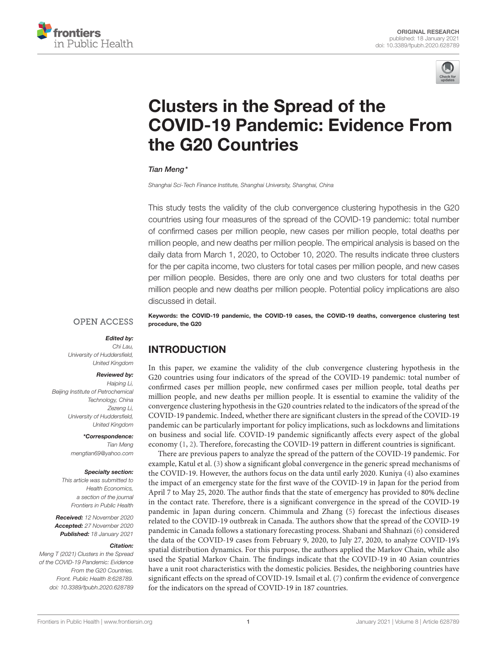



# Clusters in the Spread of the [COVID-19 Pandemic: Evidence From](https://www.frontiersin.org/articles/10.3389/fpubh.2020.628789/full) the G20 Countries

#### Tian Meng\*

*Shanghai Sci-Tech Finance Institute, Shanghai University, Shanghai, China*

This study tests the validity of the club convergence clustering hypothesis in the G20 countries using four measures of the spread of the COVID-19 pandemic: total number of confirmed cases per million people, new cases per million people, total deaths per million people, and new deaths per million people. The empirical analysis is based on the daily data from March 1, 2020, to October 10, 2020. The results indicate three clusters for the per capita income, two clusters for total cases per million people, and new cases per million people. Besides, there are only one and two clusters for total deaths per million people and new deaths per million people. Potential policy implications are also discussed in detail.

**OPEN ACCESS** 

procedure, the G20

#### Edited by:

*Chi Lau, University of Huddersfield, United Kingdom*

#### Reviewed by:

*Haiping Li, Beijing Institute of Petrochemical Technology, China Zezeng Li, University of Huddersfield, United Kingdom*

> \*Correspondence: *Tian Meng [mengtian69@yahoo.com](mailto:mengtian69@yahoo.com)*

#### Specialty section:

*This article was submitted to Health Economics, a section of the journal Frontiers in Public Health*

Received: *12 November 2020* Accepted: *27 November 2020* Published: *18 January 2021*

#### Citation:

*Meng T (2021) Clusters in the Spread of the COVID-19 Pandemic: Evidence From the G20 Countries. Front. Public Health 8:628789. doi: [10.3389/fpubh.2020.628789](https://doi.org/10.3389/fpubh.2020.628789)* Keywords: the COVID-19 pandemic, the COVID-19 cases, the COVID-19 deaths, convergence clustering test

## INTRODUCTION

In this paper, we examine the validity of the club convergence clustering hypothesis in the G20 countries using four indicators of the spread of the COVID-19 pandemic: total number of confirmed cases per million people, new confirmed cases per million people, total deaths per million people, and new deaths per million people. It is essential to examine the validity of the convergence clustering hypothesis in the G20 countries related to the indicators of the spread of the COVID-19 pandemic. Indeed, whether there are significant clusters in the spread of the COVID-19 pandemic can be particularly important for policy implications, such as lockdowns and limitations on business and social life. COVID-19 pandemic significantly affects every aspect of the global economy [\(1,](#page-4-0) [2\)](#page-4-1). Therefore, forecasting the COVID-19 pattern in different countries is significant.

There are previous papers to analyze the spread of the pattern of the COVID-19 pandemic. For example, Katul et al. [\(3\)](#page-4-2) show a significant global convergence in the generic spread mechanisms of the COVID-19. However, the authors focus on the data until early 2020. Kuniya [\(4\)](#page-4-3) also examines the impact of an emergency state for the first wave of the COVID-19 in Japan for the period from April 7 to May 25, 2020. The author finds that the state of emergency has provided to 80% decline in the contact rate. Therefore, there is a significant convergence in the spread of the COVID-19 pandemic in Japan during concern. Chimmula and Zhang [\(5\)](#page-4-4) forecast the infectious diseases related to the COVID-19 outbreak in Canada. The authors show that the spread of the COVID-19 pandemic in Canada follows a stationary forecasting process. Shabani and Shahnazi [\(6\)](#page-4-5) considered the data of the COVID-19 cases from February 9, 2020, to July 27, 2020, to analyze COVID-19's spatial distribution dynamics. For this purpose, the authors applied the Markov Chain, while also used the Spatial Markov Chain. The findings indicate that the COVID-19 in 40 Asian countries have a unit root characteristics with the domestic policies. Besides, the neighboring countries have significant effects on the spread of COVID-19. Ismail et al. [\(7\)](#page-4-6) confirm the evidence of convergence for the indicators on the spread of COVID-19 in 187 countries.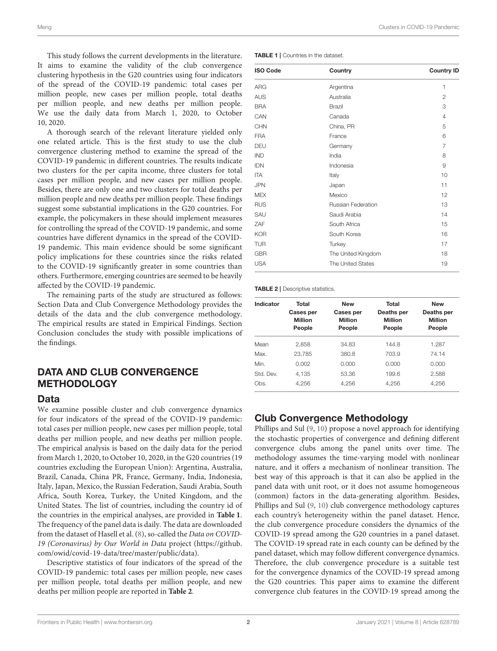This study follows the current developments in the literature. It aims to examine the validity of the club convergence clustering hypothesis in the G20 countries using four indicators of the spread of the COVID-19 pandemic: total cases per million people, new cases per million people, total deaths per million people, and new deaths per million people. We use the daily data from March 1, 2020, to October 10, 2020.

A thorough search of the relevant literature yielded only one related article. This is the first study to use the club convergence clustering method to examine the spread of the COVID-19 pandemic in different countries. The results indicate two clusters for the per capita income, three clusters for total cases per million people, and new cases per million people. Besides, there are only one and two clusters for total deaths per million people and new deaths per million people. These findings suggest some substantial implications in the G20 countries. For example, the policymakers in these should implement measures for controlling the spread of the COVID-19 pandemic, and some countries have different dynamics in the spread of the COVID-19 pandemic. This main evidence should be some significant policy implications for these countries since the risks related to the COVID-19 significantly greater in some countries than others. Furthermore, emerging countries are seemed to be heavily affected by the COVID-19 pandemic.

The remaining parts of the study are structured as follows: Section Data and Club Convergence Methodology provides the details of the data and the club convergence methodology. The empirical results are stated in Empirical Findings. Section Conclusion concludes the study with possible implications of the findings.

## DATA AND CLUB CONVERGENCE **METHODOLOGY**

#### **Data**

We examine possible cluster and club convergence dynamics for four indicators of the spread of the COVID-19 pandemic: total cases per million people, new cases per million people, total deaths per million people, and new deaths per million people. The empirical analysis is based on the daily data for the period from March 1, 2020, to October 10, 2020, in the G20 countries (19 countries excluding the European Union): Argentina, Australia, Brazil, Canada, China PR, France, Germany, India, Indonesia, Italy, Japan, Mexico, the Russian Federation, Saudi Arabia, South Africa, South Korea, Turkey, the United Kingdom, and the United States. The list of countries, including the country id of the countries in the empirical analyses, are provided in **[Table 1](#page-1-0)**. The frequency of the panel data is daily. The data are downloaded from the dataset of Hasell et al. [\(8\)](#page-4-7), so-called the Data on COVID-19 (Coronavirus) by Our World in Data project [\(https://github.](https://github.com/owid/covid-19-data/tree/master/public/data) [com/owid/covid-19-data/tree/master/public/data\)](https://github.com/owid/covid-19-data/tree/master/public/data).

Descriptive statistics of four indicators of the spread of the COVID-19 pandemic: total cases per million people, new cases per million people, total deaths per million people, and new deaths per million people are reported in **[Table 2](#page-1-1)**.

<span id="page-1-0"></span>TABLE 1 | Countries in the dataset.

| <b>ISO Code</b> | Country            | <b>Country ID</b> |  |  |  |
|-----------------|--------------------|-------------------|--|--|--|
| <b>ARG</b>      | Argentina          | 1                 |  |  |  |
| <b>AUS</b>      | Australia          | $\mathbf{2}$      |  |  |  |
| <b>BRA</b>      | Brazil             | 3                 |  |  |  |
| CAN             | Canada             | $\overline{4}$    |  |  |  |
| CHN             | China, PR          | 5                 |  |  |  |
| <b>FRA</b>      | France             | 6                 |  |  |  |
| DEU             | Germany            | $\overline{7}$    |  |  |  |
| <b>IND</b>      | India              | 8                 |  |  |  |
| <b>IDN</b>      | Indonesia          | 9                 |  |  |  |
| <b>ITA</b>      | Italy              | 10                |  |  |  |
| <b>JPN</b>      | Japan              | 11                |  |  |  |
| <b>MEX</b>      | Mexico             | 12                |  |  |  |
| <b>RUS</b>      | Russian Federation | 13                |  |  |  |
| SAU             | Saudi Arabia       | 14                |  |  |  |
| ZAF             | South Africa       | 15                |  |  |  |
| <b>KOR</b>      | South Korea        | 16                |  |  |  |
| <b>TUR</b>      | Turkey             | 17                |  |  |  |
| <b>GBR</b>      | The United Kingdom | 18                |  |  |  |
| <b>USA</b>      | The United States  | 19                |  |  |  |

<span id="page-1-1"></span>TABLE 2 | Descriptive statistics.

| Indicator | Total<br>Cases per<br><b>Million</b><br>People | <b>New</b><br>Cases per<br><b>Million</b><br>People | Total<br>Deaths per<br><b>Million</b><br>People | <b>New</b><br>Deaths per<br><b>Million</b><br>People |  |  |
|-----------|------------------------------------------------|-----------------------------------------------------|-------------------------------------------------|------------------------------------------------------|--|--|
| Mean      | 2.858                                          | 34.83                                               | 144.8                                           | 1.287                                                |  |  |
| Max       | 23.785                                         | 380.8                                               | 703.9                                           | 74.14                                                |  |  |
| Min       | 0.002                                          | 0.000                                               | 0.000                                           | 0.000                                                |  |  |
| Std. Dev. | 4.135                                          | 53.36                                               | 199.6                                           | 2.588                                                |  |  |
| Obs.      | 4.256                                          | 4.256                                               | 4.256                                           | 4.256                                                |  |  |

## Club Convergence Methodology

Phillips and Sul [\(9,](#page-4-8) [10\)](#page-4-9) propose a novel approach for identifying the stochastic properties of convergence and defining different convergence clubs among the panel units over time. The methodology assumes the time-varying model with nonlinear nature, and it offers a mechanism of nonlinear transition. The best way of this approach is that it can also be applied in the panel data with unit root, or it does not assume homogeneous (common) factors in the data-generating algorithm. Besides, Phillips and Sul [\(9,](#page-4-8) [10\)](#page-4-9) club convergence methodology captures each country's heterogeneity within the panel dataset. Hence, the club convergence procedure considers the dynamics of the COVID-19 spread among the G20 countries in a panel dataset. The COVID-19 spread rate in each county can be defined by the panel dataset, which may follow different convergence dynamics. Therefore, the club convergence procedure is a suitable test for the convergence dynamics of the COVID-19 spread among the G20 countries. This paper aims to examine the different convergence club features in the COVID-19 spread among the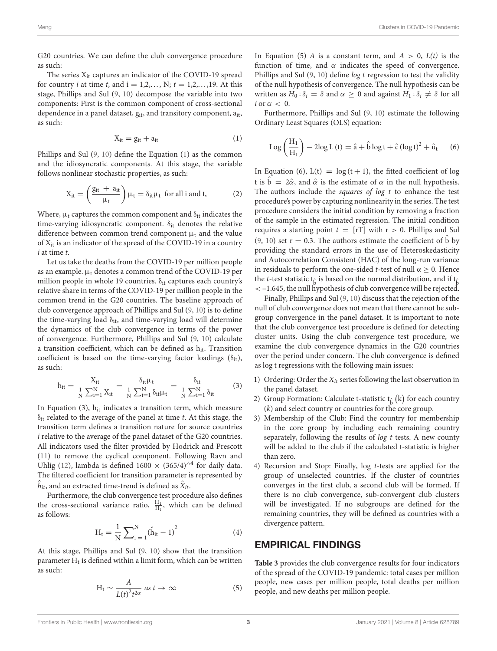G20 countries. We can define the club convergence procedure as such:

The series  $X_{it}$  captures an indicator of the COVID-19 spread for country *i* at time *t*, and  $i = 1, 2, ..., N$ ;  $t = 1, 2, ..., 19$ . At this stage, Phillips and Sul [\(9,](#page-4-8) [10\)](#page-4-9) decompose the variable into two components: First is the common component of cross-sectional dependence in a panel dataset,  $g_{it}$ , and transitory component,  $a_{it}$ , as such:

$$
X_{it} = g_{it} + a_{it} \tag{1}
$$

Phillips and Sul [\(9,](#page-4-8) [10\)](#page-4-9) define the Equation [\(1\)](#page-4-0) as the common and the idiosyncratic components. At this stage, the variable follows nonlinear stochastic properties, as such:

$$
X_{it} = \left(\frac{g_{it} + a_{it}}{\mu_t}\right) \mu_t = \delta_{it} \mu_t \text{ for all } i \text{ and } t,
$$
 (2)

Where,  $\mu_t$  captures the common component and  $\delta_{it}$  indicates the time-varying idiosyncratic component.  $\delta_{it}$  denotes the relative difference between common trend component  $\mu_t$  and the value of Xit is an indicator of the spread of the COVID-19 in a country  $i$  at time  $t$ .

Let us take the deaths from the COVID-19 per million people as an example.  $\mu_t$  denotes a common trend of the COVID-19 per million people in whole 19 countries.  $\delta_{it}$  captures each country's relative share in terms of the COVID-19 per million people in the common trend in the G20 countries. The baseline approach of club convergence approach of Phillips and Sul [\(9,](#page-4-8) [10\)](#page-4-9) is to define the time-varying load  $\delta_{it}$ , and time-varying load will determine the dynamics of the club convergence in terms of the power of convergence. Furthermore, Phillips and Sul [\(9,](#page-4-8) [10\)](#page-4-9) calculate a transition coefficient, which can be defined as  $h_{it}$ . Transition coefficient is based on the time-varying factor loadings  $(\delta_{it})$ , as such:

$$
h_{it} = \frac{X_{it}}{\frac{1}{N} \sum_{i=1}^{N} X_{it}} = \frac{\delta_{it} \mu_t}{\frac{1}{N} \sum_{i=1}^{N} \delta_{it} \mu_t} = \frac{\delta_{it}}{\frac{1}{N} \sum_{i=1}^{N} \delta_{it}} \qquad (3)
$$

In Equation (3),  $h_{it}$  indicates a transition term, which measure  $\delta_{it}$  related to the average of the panel at time t. At this stage, the transition term defines a transition nature for source countries i relative to the average of the panel dataset of the G20 countries. All indicators used the filter provided by Hodrick and Prescott [\(11\)](#page-4-10) to remove the cyclical component. Following Ravn and Uhlig [\(12\)](#page-4-11), lambda is defined 1600  $\times$  (365/4)<sup>∧4</sup> for daily data. The filtered coefficient for transition parameter is represented by  $\hat{h}_{it}$ , and an extracted time-trend is defined as  $\hat{X}_{it}.$ 

Furthermore, the club convergence test procedure also defines the cross-sectional variance ratio,  $\frac{H_1}{H_t}$ , which can be defined as follows:

$$
H_t = \frac{1}{N} \sum_{i=1}^{N} (\hat{h}_{it} - 1)^2
$$
 (4)

At this stage, Phillips and Sul [\(9,](#page-4-8) [10\)](#page-4-9) show that the transition parameter  $\mathrm{H}_\mathrm{t}$  is defined within a limit form, which can be written as such:

$$
H_t \sim \frac{A}{L(t)^2 t^{2\alpha}} \text{ as } t \to \infty
$$
 (5)

In Equation (5) A is a constant term, and  $A > 0$ ,  $L(t)$  is the function of time, and  $\alpha$  indicates the speed of convergence. Phillips and Sul  $(9, 10)$  $(9, 10)$  define log t regression to test the validity of the null hypothesis of convergence. The null hypothesis can be written as  $H_0: \delta_i = \delta$  and  $\alpha \geq 0$  and against  $H_1: \delta_i \neq \delta$  for all  $i$  or  $\alpha < 0$ .

Furthermore, Phillips and Sul [\(9,](#page-4-8) [10\)](#page-4-9) estimate the following Ordinary Least Squares (OLS) equation:

$$
Log\left(\frac{H_1}{H_t}\right) - 2log L\left(t\right) = \hat{a} + \hat{b}\log t + \hat{c}\left(\log t\right)^2 + \hat{u}_t \hspace{0.5cm} (6)
$$

In Equation (6),  $L(t) = log(t + 1)$ , the fitted coefficient of log t is  $\hat{b} = 2\hat{\alpha}$ , and  $\hat{\alpha}$  is the estimate of  $\alpha$  in the null hypothesis. The authors include the *squares of log t* to enhance the test procedure's power by capturing nonlinearity in the series. The test procedure considers the initial condition by removing a fraction of the sample in the estimated regression. The initial condition requires a starting point  $t = [rT]$  with  $r > 0$ . Phillips and Sul [\(9,](#page-4-8) [10\)](#page-4-9) set  $r = 0.3$ . The authors estimate the coefficient of  $\overline{b}$  by providing the standard errors in the use of Heteroskedasticity and Autocorrelation Consistent (HAC) of the long-run variance in residuals to perform the one-sided t-test of null  $\alpha \geq 0$ . Hence the *t*-test statistic  $t<sub>\hat{b}</sub>$  is based on the normal distribution, and if  $t<sub>\hat{b}</sub>$ < –1.645, the null hypothesis of club convergence will be rejected.

Finally, Phillips and Sul [\(9,](#page-4-8) [10\)](#page-4-9) discuss that the rejection of the null of club convergence does not mean that there cannot be subgroup convergence in the panel dataset. It is important to note that the club convergence test procedure is defined for detecting cluster units. Using the club convergence test procedure, we examine the club convergence dynamics in the G20 countries over the period under concern. The club convergence is defined as log t regressions with the following main issues:

- 1) Ordering: Order the  $X_{it}$  series following the last observation in the panel dataset.
- 2) Group Formation: Calculate t-statistic  $t_{\hat{b}}$  (k) for each country (k) and select country or countries for the core group.
- 3) Membership of the Club: Find the country for membership in the core group by including each remaining country separately, following the results of  $log t$  tests. A new county will be added to the club if the calculated t-statistic is higher than zero.
- 4) Recursion and Stop: Finally, log t-tests are applied for the group of unselected countries. If the cluster of countries converges in the first club, a second club will be formed. If there is no club convergence, sub-convergent club clusters will be investigated. If no subgroups are defined for the remaining countries, they will be defined as countries with a divergence pattern.

#### EMPIRICAL FINDINGS

**[Table 3](#page-3-0)** provides the club convergence results for four indicators of the spread of the COVID-19 pandemic: total cases per million people, new cases per million people, total deaths per million people, and new deaths per million people.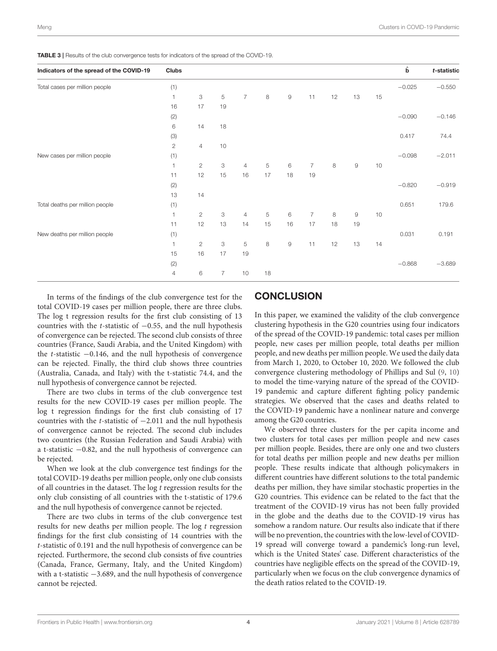<span id="page-3-0"></span>TABLE 3 | Results of the club convergence tests for indicators of the spread of the COVID-19.

| Indicators of the spread of the COVID-19 | <b>Clubs</b>   |                |                |                |    |                        |                |    |              |    | $\hat{\mathbf{b}}$ | t-statistic |
|------------------------------------------|----------------|----------------|----------------|----------------|----|------------------------|----------------|----|--------------|----|--------------------|-------------|
| Total cases per million people           | (1)            |                |                |                |    |                        |                |    |              |    | $-0.025$           | $-0.550$    |
|                                          | $\mathbf{1}$   | 3              | 5              | $\overline{7}$ | 8  | $\mathsf g$            | 11             | 12 | 13           | 15 |                    |             |
|                                          | 16             | 17             | 19             |                |    |                        |                |    |              |    |                    |             |
|                                          | (2)            |                |                |                |    |                        |                |    |              |    | $-0.090$           | $-0.146$    |
|                                          | 6              | 14             | 18             |                |    |                        |                |    |              |    |                    |             |
|                                          | $(3)$          |                |                |                |    |                        |                |    |              |    | 0.417              | 74.4        |
|                                          | $\mathbf{2}$   | $\overline{4}$ | 10             |                |    |                        |                |    |              |    |                    |             |
| New cases per million people             | (1)            |                |                |                |    |                        |                |    |              |    | $-0.098$           | $-2.011$    |
|                                          | $\mathbf{1}$   | $\mathbf{2}$   | 3              | $\overline{4}$ | 5  | $\,6$                  | $\overline{7}$ | 8  | $\mathsf 9$  | 10 |                    |             |
|                                          | 11             | 12             | 15             | 16             | 17 | 18                     | 19             |    |              |    |                    |             |
|                                          | (2)            |                |                |                |    |                        |                |    |              |    | $-0.820$           | $-0.919$    |
|                                          | 13             | 14             |                |                |    |                        |                |    |              |    |                    |             |
| Total deaths per million people          | (1)            |                |                |                |    |                        |                |    |              |    | 0.651              | 179.6       |
|                                          | $\mathbf{1}$   | $\overline{2}$ | 3              | $\overline{4}$ | 5  | 6                      | $\overline{7}$ | 8  | $\mathsf{9}$ | 10 |                    |             |
|                                          | 11             | 12             | 13             | 14             | 15 | 16                     | 17             | 18 | 19           |    |                    |             |
| New deaths per million people            | (1)            |                |                |                |    |                        |                |    |              |    | 0.031              | 0.191       |
|                                          | $\mathbf{1}$   | $\mathbf{2}$   | З              | 5              | 8  | $\mathrel{\mathsf{g}}$ | 11             | 12 | 13           | 14 |                    |             |
|                                          | 15             | 16             | 17             | 19             |    |                        |                |    |              |    |                    |             |
|                                          | (2)            |                |                |                |    |                        |                |    |              |    | $-0.868$           | $-3.689$    |
|                                          | $\overline{4}$ | 6              | $\overline{7}$ | 10             | 18 |                        |                |    |              |    |                    |             |

In terms of the findings of the club convergence test for the total COVID-19 cases per million people, there are three clubs. The log t regression results for the first club consisting of 13 countries with the t-statistic of  $-0.55$ , and the null hypothesis of convergence can be rejected. The second club consists of three countries (France, Saudi Arabia, and the United Kingdom) with the t-statistic −0.146, and the null hypothesis of convergence can be rejected. Finally, the third club shows three countries (Australia, Canada, and Italy) with the t-statistic 74.4, and the null hypothesis of convergence cannot be rejected.

There are two clubs in terms of the club convergence test results for the new COVID-19 cases per million people. The log t regression findings for the first club consisting of 17 countries with the t-statistic of −2.011 and the null hypothesis of convergence cannot be rejected. The second club includes two countries (the Russian Federation and Saudi Arabia) with a t-statistic −0.82, and the null hypothesis of convergence can be rejected.

When we look at the club convergence test findings for the total COVID-19 deaths per million people, only one club consists of all countries in the dataset. The  $log t$  regression results for the only club consisting of all countries with the t-statistic of 179.6 and the null hypothesis of convergence cannot be rejected.

There are two clubs in terms of the club convergence test results for new deaths per million people. The  $log t$  regression findings for the first club consisting of 14 countries with the t-statistic of 0.191 and the null hypothesis of convergence can be rejected. Furthermore, the second club consists of five countries (Canada, France, Germany, Italy, and the United Kingdom) with a t-statistic −3.689, and the null hypothesis of convergence cannot be rejected.

### **CONCLUSION**

In this paper, we examined the validity of the club convergence clustering hypothesis in the G20 countries using four indicators of the spread of the COVID-19 pandemic: total cases per million people, new cases per million people, total deaths per million people, and new deaths per million people. We used the daily data from March 1, 2020, to October 10, 2020. We followed the club convergence clustering methodology of Phillips and Sul [\(9,](#page-4-8) [10\)](#page-4-9) to model the time-varying nature of the spread of the COVID-19 pandemic and capture different fighting policy pandemic strategies. We observed that the cases and deaths related to the COVID-19 pandemic have a nonlinear nature and converge among the G20 countries.

We observed three clusters for the per capita income and two clusters for total cases per million people and new cases per million people. Besides, there are only one and two clusters for total deaths per million people and new deaths per million people. These results indicate that although policymakers in different countries have different solutions to the total pandemic deaths per million, they have similar stochastic properties in the G20 countries. This evidence can be related to the fact that the treatment of the COVID-19 virus has not been fully provided in the globe and the deaths due to the COVID-19 virus has somehow a random nature. Our results also indicate that if there will be no prevention, the countries with the low-level of COVID-19 spread will converge toward a pandemic's long-run level, which is the United States' case. Different characteristics of the countries have negligible effects on the spread of the COVID-19, particularly when we focus on the club convergence dynamics of the death ratios related to the COVID-19.